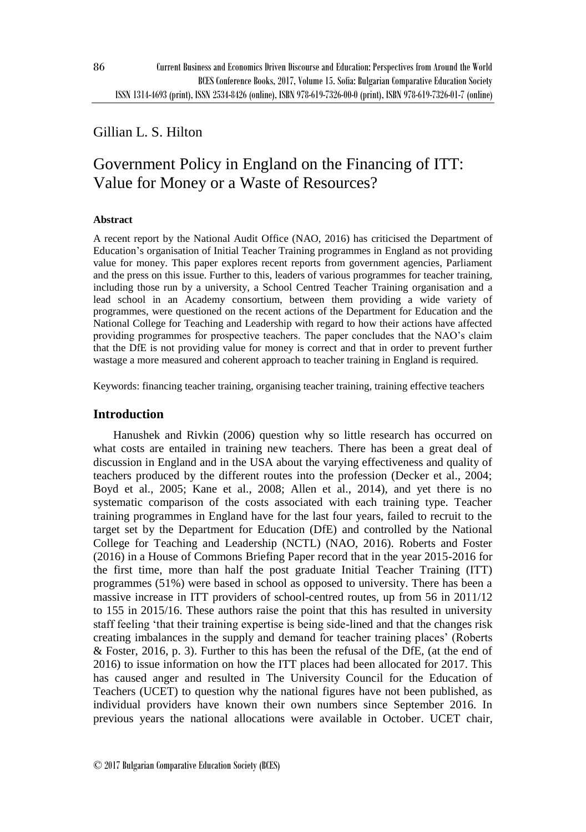# Gillian L. S. Hilton

# Government Policy in England on the Financing of ITT: Value for Money or a Waste of Resources?

### **Abstract**

A recent report by the National Audit Office (NAO, 2016) has criticised the Department of Education's organisation of Initial Teacher Training programmes in England as not providing value for money. This paper explores recent reports from government agencies, Parliament and the press on this issue. Further to this, leaders of various programmes for teacher training, including those run by a university, a School Centred Teacher Training organisation and a lead school in an Academy consortium, between them providing a wide variety of programmes, were questioned on the recent actions of the Department for Education and the National College for Teaching and Leadership with regard to how their actions have affected providing programmes for prospective teachers. The paper concludes that the NAO's claim that the DfE is not providing value for money is correct and that in order to prevent further wastage a more measured and coherent approach to teacher training in England is required.

Keywords: financing teacher training, organising teacher training, training effective teachers

## **Introduction**

Hanushek and Rivkin (2006) question why so little research has occurred on what costs are entailed in training new teachers. There has been a great deal of discussion in England and in the USA about the varying effectiveness and quality of teachers produced by the different routes into the profession (Decker et al., 2004; Boyd et al., 2005; Kane et al., 2008; Allen et al., 2014), and yet there is no systematic comparison of the costs associated with each training type. Teacher training programmes in England have for the last four years, failed to recruit to the target set by the Department for Education (DfE) and controlled by the National College for Teaching and Leadership (NCTL) (NAO, 2016). Roberts and Foster (2016) in a House of Commons Briefing Paper record that in the year 2015-2016 for the first time, more than half the post graduate Initial Teacher Training (ITT) programmes (51%) were based in school as opposed to university. There has been a massive increase in ITT providers of school-centred routes, up from 56 in 2011/12 to 155 in 2015/16. These authors raise the point that this has resulted in university staff feeling 'that their training expertise is being side-lined and that the changes risk creating imbalances in the supply and demand for teacher training places' (Roberts & Foster, 2016, p. 3). Further to this has been the refusal of the DfE, (at the end of 2016) to issue information on how the ITT places had been allocated for 2017. This has caused anger and resulted in The University Council for the Education of Teachers (UCET) to question why the national figures have not been published, as individual providers have known their own numbers since September 2016. In previous years the national allocations were available in October. UCET chair,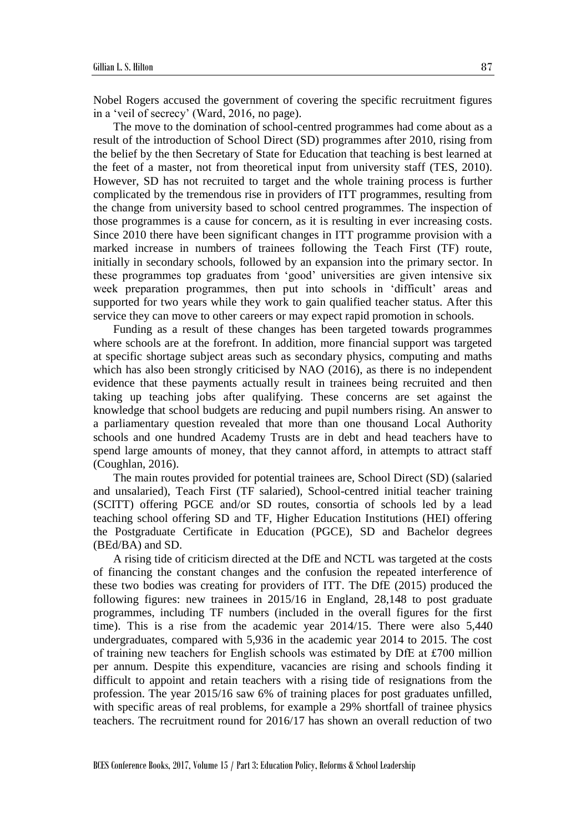Nobel Rogers accused the government of covering the specific recruitment figures in a 'veil of secrecy' (Ward, 2016, no page).

The move to the domination of school-centred programmes had come about as a result of the introduction of School Direct (SD) programmes after 2010, rising from the belief by the then Secretary of State for Education that teaching is best learned at the feet of a master, not from theoretical input from university staff (TES, 2010). However, SD has not recruited to target and the whole training process is further complicated by the tremendous rise in providers of ITT programmes, resulting from the change from university based to school centred programmes. The inspection of those programmes is a cause for concern, as it is resulting in ever increasing costs. Since 2010 there have been significant changes in ITT programme provision with a marked increase in numbers of trainees following the Teach First (TF) route, initially in secondary schools, followed by an expansion into the primary sector. In these programmes top graduates from 'good' universities are given intensive six week preparation programmes, then put into schools in 'difficult' areas and supported for two years while they work to gain qualified teacher status. After this service they can move to other careers or may expect rapid promotion in schools.

Funding as a result of these changes has been targeted towards programmes where schools are at the forefront. In addition, more financial support was targeted at specific shortage subject areas such as secondary physics, computing and maths which has also been strongly criticised by NAO (2016), as there is no independent evidence that these payments actually result in trainees being recruited and then taking up teaching jobs after qualifying. These concerns are set against the knowledge that school budgets are reducing and pupil numbers rising. An answer to a parliamentary question revealed that more than one thousand Local Authority schools and one hundred Academy Trusts are in debt and head teachers have to spend large amounts of money, that they cannot afford, in attempts to attract staff (Coughlan, 2016).

The main routes provided for potential trainees are, School Direct (SD) (salaried and unsalaried), Teach First (TF salaried), School-centred initial teacher training (SCITT) offering PGCE and/or SD routes, consortia of schools led by a lead teaching school offering SD and TF, Higher Education Institutions (HEI) offering the Postgraduate Certificate in Education (PGCE), SD and Bachelor degrees (BEd/BA) and SD.

A rising tide of criticism directed at the DfE and NCTL was targeted at the costs of financing the constant changes and the confusion the repeated interference of these two bodies was creating for providers of ITT. The DfE (2015) produced the following figures: new trainees in 2015/16 in England, 28,148 to post graduate programmes, including TF numbers (included in the overall figures for the first time). This is a rise from the academic year 2014/15. There were also 5,440 undergraduates, compared with 5,936 in the academic year 2014 to 2015. The cost of training new teachers for English schools was estimated by DfE at £700 million per annum. Despite this expenditure, vacancies are rising and schools finding it difficult to appoint and retain teachers with a rising tide of resignations from the profession. The year 2015/16 saw 6% of training places for post graduates unfilled, with specific areas of real problems, for example a 29% shortfall of trainee physics teachers. The recruitment round for 2016/17 has shown an overall reduction of two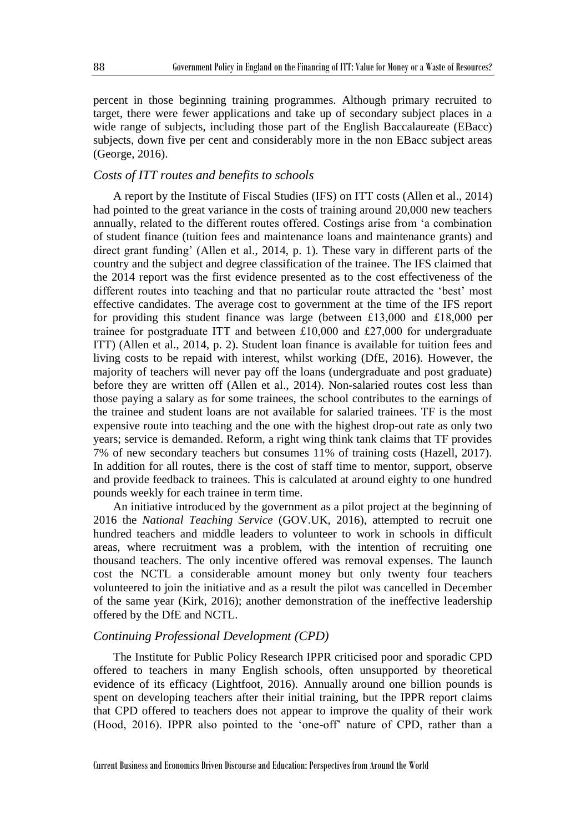percent in those beginning training programmes. Although primary recruited to target, there were fewer applications and take up of secondary subject places in a wide range of subjects, including those part of the English Baccalaureate (EBacc) subjects, down five per cent and considerably more in the non EBacc subject areas (George, 2016).

# *Costs of ITT routes and benefits to schools*

A report by the Institute of Fiscal Studies (IFS) on ITT costs (Allen et al., 2014) had pointed to the great variance in the costs of training around 20,000 new teachers annually, related to the different routes offered. Costings arise from 'a combination of student finance (tuition fees and maintenance loans and maintenance grants) and direct grant funding' (Allen et al., 2014, p. 1). These vary in different parts of the country and the subject and degree classification of the trainee. The IFS claimed that the 2014 report was the first evidence presented as to the cost effectiveness of the different routes into teaching and that no particular route attracted the 'best' most effective candidates. The average cost to government at the time of the IFS report for providing this student finance was large (between £13,000 and £18,000 per trainee for postgraduate ITT and between £10,000 and £27,000 for undergraduate ITT) (Allen et al., 2014, p. 2). Student loan finance is available for tuition fees and living costs to be repaid with interest, whilst working (DfE, 2016). However, the majority of teachers will never pay off the loans (undergraduate and post graduate) before they are written off (Allen et al., 2014). Non-salaried routes cost less than those paying a salary as for some trainees, the school contributes to the earnings of the trainee and student loans are not available for salaried trainees. TF is the most expensive route into teaching and the one with the highest drop-out rate as only two years; service is demanded. Reform, a right wing think tank claims that TF provides 7% of new secondary teachers but consumes 11% of training costs (Hazell, 2017). In addition for all routes, there is the cost of staff time to mentor, support, observe and provide feedback to trainees. This is calculated at around eighty to one hundred pounds weekly for each trainee in term time.

An initiative introduced by the government as a pilot project at the beginning of 2016 the *National Teaching Service* (GOV.UK, 2016), attempted to recruit one hundred teachers and middle leaders to volunteer to work in schools in difficult areas, where recruitment was a problem, with the intention of recruiting one thousand teachers. The only incentive offered was removal expenses. The launch cost the NCTL a considerable amount money but only twenty four teachers volunteered to join the initiative and as a result the pilot was cancelled in December of the same year (Kirk, 2016); another demonstration of the ineffective leadership offered by the DfE and NCTL.

#### *Continuing Professional Development (CPD)*

The Institute for Public Policy Research IPPR criticised poor and sporadic CPD offered to teachers in many English schools, often unsupported by theoretical evidence of its efficacy (Lightfoot, 2016). Annually around one billion pounds is spent on developing teachers after their initial training, but the IPPR report claims that CPD offered to teachers does not appear to improve the quality of their work (Hood, 2016). IPPR also pointed to the 'one-off' nature of CPD, rather than a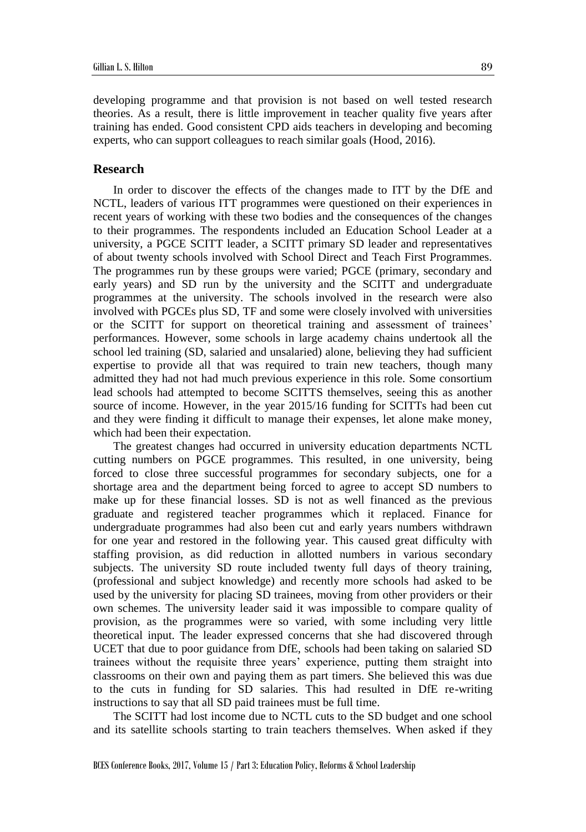developing programme and that provision is not based on well tested research theories. As a result, there is little improvement in teacher quality five years after training has ended. Good consistent CPD aids teachers in developing and becoming experts, who can support colleagues to reach similar goals (Hood, 2016).

### **Research**

In order to discover the effects of the changes made to ITT by the DfE and NCTL, leaders of various ITT programmes were questioned on their experiences in recent years of working with these two bodies and the consequences of the changes to their programmes. The respondents included an Education School Leader at a university, a PGCE SCITT leader, a SCITT primary SD leader and representatives of about twenty schools involved with School Direct and Teach First Programmes. The programmes run by these groups were varied; PGCE (primary, secondary and early years) and SD run by the university and the SCITT and undergraduate programmes at the university. The schools involved in the research were also involved with PGCEs plus SD, TF and some were closely involved with universities or the SCITT for support on theoretical training and assessment of trainees' performances. However, some schools in large academy chains undertook all the school led training (SD, salaried and unsalaried) alone, believing they had sufficient expertise to provide all that was required to train new teachers, though many admitted they had not had much previous experience in this role. Some consortium lead schools had attempted to become SCITTS themselves, seeing this as another source of income. However, in the year 2015/16 funding for SCITTs had been cut and they were finding it difficult to manage their expenses, let alone make money, which had been their expectation.

The greatest changes had occurred in university education departments NCTL cutting numbers on PGCE programmes. This resulted, in one university, being forced to close three successful programmes for secondary subjects, one for a shortage area and the department being forced to agree to accept SD numbers to make up for these financial losses. SD is not as well financed as the previous graduate and registered teacher programmes which it replaced. Finance for undergraduate programmes had also been cut and early years numbers withdrawn for one year and restored in the following year. This caused great difficulty with staffing provision, as did reduction in allotted numbers in various secondary subjects. The university SD route included twenty full days of theory training, (professional and subject knowledge) and recently more schools had asked to be used by the university for placing SD trainees, moving from other providers or their own schemes. The university leader said it was impossible to compare quality of provision, as the programmes were so varied, with some including very little theoretical input. The leader expressed concerns that she had discovered through UCET that due to poor guidance from DfE, schools had been taking on salaried SD trainees without the requisite three years' experience, putting them straight into classrooms on their own and paying them as part timers. She believed this was due to the cuts in funding for SD salaries. This had resulted in DfE re-writing instructions to say that all SD paid trainees must be full time.

The SCITT had lost income due to NCTL cuts to the SD budget and one school and its satellite schools starting to train teachers themselves. When asked if they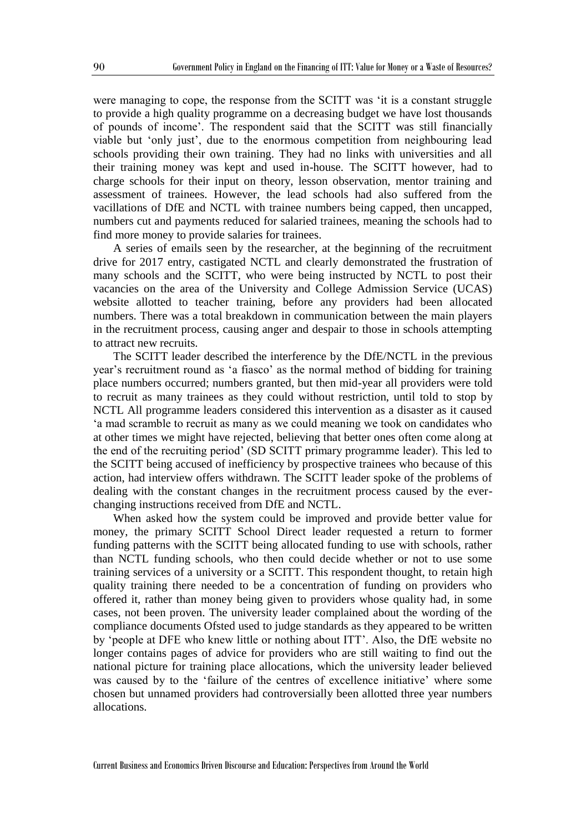were managing to cope, the response from the SCITT was 'it is a constant struggle to provide a high quality programme on a decreasing budget we have lost thousands of pounds of income'. The respondent said that the SCITT was still financially viable but 'only just', due to the enormous competition from neighbouring lead schools providing their own training. They had no links with universities and all their training money was kept and used in-house. The SCITT however, had to charge schools for their input on theory, lesson observation, mentor training and assessment of trainees. However, the lead schools had also suffered from the vacillations of DfE and NCTL with trainee numbers being capped, then uncapped, numbers cut and payments reduced for salaried trainees, meaning the schools had to find more money to provide salaries for trainees.

A series of emails seen by the researcher, at the beginning of the recruitment drive for 2017 entry, castigated NCTL and clearly demonstrated the frustration of many schools and the SCITT, who were being instructed by NCTL to post their vacancies on the area of the University and College Admission Service (UCAS) website allotted to teacher training, before any providers had been allocated numbers. There was a total breakdown in communication between the main players in the recruitment process, causing anger and despair to those in schools attempting to attract new recruits.

The SCITT leader described the interference by the DfE/NCTL in the previous year's recruitment round as 'a fiasco' as the normal method of bidding for training place numbers occurred; numbers granted, but then mid-year all providers were told to recruit as many trainees as they could without restriction, until told to stop by NCTL All programme leaders considered this intervention as a disaster as it caused 'a mad scramble to recruit as many as we could meaning we took on candidates who at other times we might have rejected, believing that better ones often come along at the end of the recruiting period' (SD SCITT primary programme leader). This led to the SCITT being accused of inefficiency by prospective trainees who because of this action, had interview offers withdrawn. The SCITT leader spoke of the problems of dealing with the constant changes in the recruitment process caused by the everchanging instructions received from DfE and NCTL.

When asked how the system could be improved and provide better value for money, the primary SCITT School Direct leader requested a return to former funding patterns with the SCITT being allocated funding to use with schools, rather than NCTL funding schools, who then could decide whether or not to use some training services of a university or a SCITT. This respondent thought, to retain high quality training there needed to be a concentration of funding on providers who offered it, rather than money being given to providers whose quality had, in some cases, not been proven. The university leader complained about the wording of the compliance documents Ofsted used to judge standards as they appeared to be written by 'people at DFE who knew little or nothing about ITT'. Also, the DfE website no longer contains pages of advice for providers who are still waiting to find out the national picture for training place allocations, which the university leader believed was caused by to the 'failure of the centres of excellence initiative' where some chosen but unnamed providers had controversially been allotted three year numbers allocations.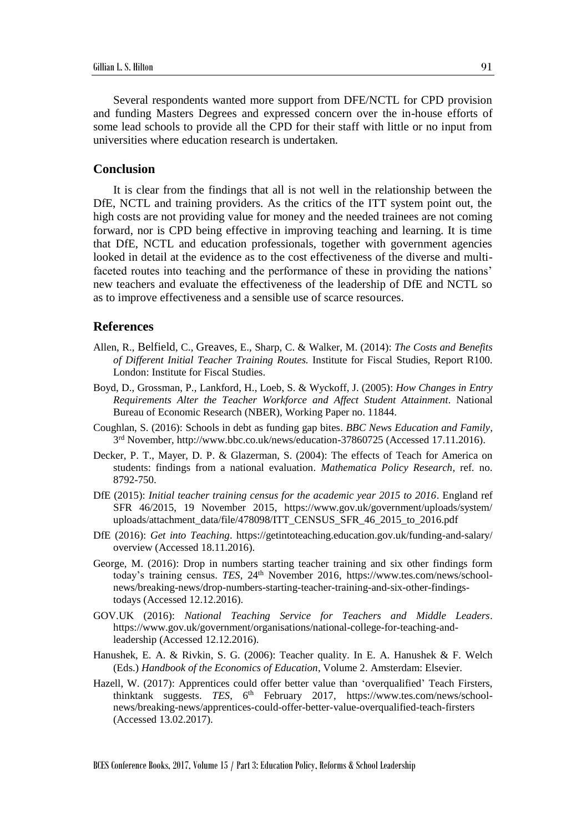Several respondents wanted more support from DFE/NCTL for CPD provision and funding Masters Degrees and expressed concern over the in-house efforts of some lead schools to provide all the CPD for their staff with little or no input from universities where education research is undertaken.

#### **Conclusion**

It is clear from the findings that all is not well in the relationship between the DfE, NCTL and training providers. As the critics of the ITT system point out, the high costs are not providing value for money and the needed trainees are not coming forward, nor is CPD being effective in improving teaching and learning. It is time that DfE, NCTL and education professionals, together with government agencies looked in detail at the evidence as to the cost effectiveness of the diverse and multifaceted routes into teaching and the performance of these in providing the nations' new teachers and evaluate the effectiveness of the leadership of DfE and NCTL so as to improve effectiveness and a sensible use of scarce resources.

#### **References**

- Allen, R., [Belfield](http://www.ifs.org.uk/people/profile/671), C., [Greaves](http://www.ifs.org.uk/people/profile/454), E., Sharp, C. & Walker, M. (2014): *The Costs and Benefits of Different Initial Teacher Training Routes.* Institute for Fiscal Studies, Report R100. London: Institute for Fiscal Studies.
- Boyd, D., Grossman, P., Lankford, H., Loeb, S. & Wyckoff, J. (2005): *How Changes in Entry Requirements Alter the Teacher Workforce and Affect Student Attainment*. National Bureau of Economic Research (NBER), Working Paper no. 11844.
- Coughlan, S. (2016): Schools in debt as funding gap bites. *BBC News Education and Family*, 3 rd November, http://www.bbc.co.uk/news/education-37860725 (Accessed 17.11.2016).
- Decker, P. T., Mayer, D. P. & Glazerman, S. (2004): The effects of Teach for America on students: findings from a national evaluation. *Mathematica Policy Research*, ref. no. 8792-750.
- DfE (2015): *Initial teacher training census for the academic year 2015 to 2016*. England ref SFR 46/2015, 19 November 2015, https://www.gov.uk/government/uploads/system/ uploads/attachment\_data/file/478098/ITT\_CENSUS\_SFR\_46\_2015\_to\_2016.pdf
- DfE (2016): *Get into Teaching*. https://getintoteaching.education.gov.uk/funding-and-salary/ overview (Accessed 18.11.2016).
- George, M. (2016): Drop in numbers starting teacher training and six other findings form today's training census. *TES*, 24<sup>th</sup> November 2016, https://www.tes.com/news/schoolnews/breaking-news/drop-numbers-starting-teacher-training-and-six-other-findingstodays (Accessed 12.12.2016).
- GOV.UK (2016): *National Teaching Service for Teachers and Middle Leaders*. https://www.gov.uk/government/organisations/national-college-for-teaching-andleadership (Accessed 12.12.2016).
- Hanushek, E. A. & Rivkin, S. G. (2006): Teacher quality. In E. A. Hanushek & F. Welch (Eds.) *Handbook of the Economics of Education*, Volume 2. Amsterdam: Elsevier.
- Hazell, W. (2017): Apprentices could offer better value than 'overqualified' Teach Firsters, thinktank suggests. *TES*, 6th February 2017, https://www.tes.com/news/schoolnews/breaking-news/apprentices-could-offer-better-value-overqualified-teach-firsters (Accessed 13.02.2017).